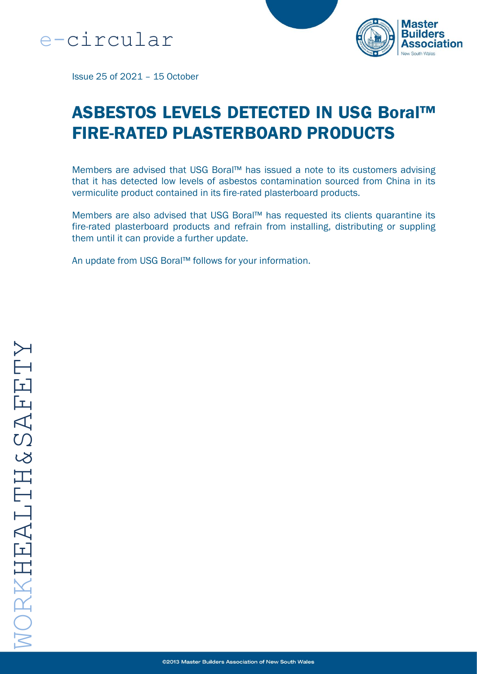



Issue 25 of 2021 – 15 October

# ASBESTOS LEVELS DETECTED IN USG Boral™ FIRE-RATED PLASTERBOARD PRODUCTS

Members are advised that USG Boral™ has issued a note to its customers advising that it has detected low levels of asbestos contamination sourced from China in its vermiculite product contained in its fire-rated plasterboard products.

Members are also advised that USG Boral™ has requested its clients quarantine its fire-rated plasterboard products and refrain from installing, distributing or suppling them until it can provide a further update.

An update from USG Boral™ follows for your information.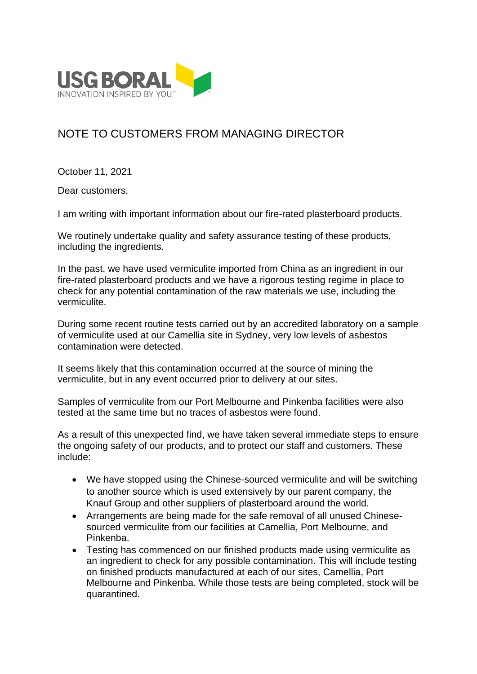

## NOTE TO CUSTOMERS FROM MANAGING DIRECTOR

October 11, 2021

Dear customers,

I am writing with important information about our fire-rated plasterboard products.

We routinely undertake quality and safety assurance testing of these products, including the ingredients.

In the past, we have used vermiculite imported from China as an ingredient in our fire-rated plasterboard products and we have a rigorous testing regime in place to check for any potential contamination of the raw materials we use, including the vermiculite.

During some recent routine tests carried out by an accredited laboratory on a sample of vermiculite used at our Camellia site in Sydney, very low levels of asbestos contamination were detected.

It seems likely that this contamination occurred at the source of mining the vermiculite, but in any event occurred prior to delivery at our sites.

Samples of vermiculite from our Port Melbourne and Pinkenba facilities were also tested at the same time but no traces of asbestos were found.

As a result of this unexpected find, we have taken several immediate steps to ensure the ongoing safety of our products, and to protect our staff and customers. These include:

- We have stopped using the Chinese-sourced vermiculite and will be switching to another source which is used extensively by our parent company, the Knauf Group and other suppliers of plasterboard around the world.
- Arrangements are being made for the safe removal of all unused Chinesesourced vermiculite from our facilities at Camellia, Port Melbourne, and Pinkenba.
- Testing has commenced on our finished products made using vermiculite as an ingredient to check for any possible contamination. This will include testing on finished products manufactured at each of our sites, Camellia, Port Melbourne and Pinkenba. While those tests are being completed, stock will be quarantined.